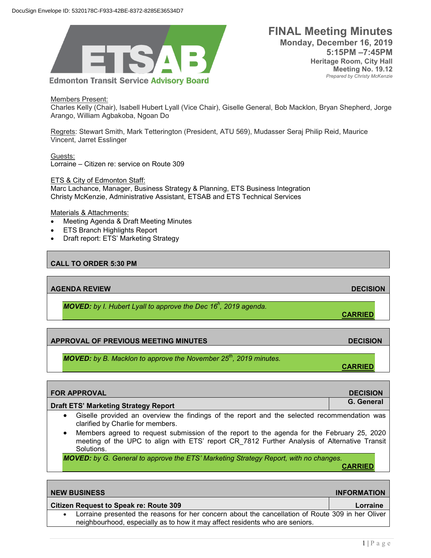

**FINAL Meeting Minutes Monday, December 16, 2019 5:15PM –7:45PM Heritage Room, City Hall Meeting No. 19.12** *Prepared by Christy McKenzie*

Members Present:

Charles Kelly (Chair), Isabell Hubert Lyall (Vice Chair), Giselle General, Bob Macklon, Bryan Shepherd, Jorge Arango, William Agbakoba, Ngoan Do

Regrets: Stewart Smith, Mark Tetterington (President, ATU 569), Mudasser Seraj Philip Reid, Maurice Vincent, Jarret Esslinger

Guests: Lorraine – Citizen re: service on Route 309

#### ETS & City of Edmonton Staff:

Marc Lachance, Manager, Business Strategy & Planning, ETS Business Integration Christy McKenzie, Administrative Assistant, ETSAB and ETS Technical Services

#### Materials & Attachments:

- Meeting Agenda & Draft Meeting Minutes
- **ETS Branch Highlights Report**
- Draft report: ETS' Marketing Strategy

## **CALL TO ORDER 5:30 PM**

**AGENDA REVIEW DECISION** 

*MOVED: by I. Hubert Lyall to approve the Dec 16<sup>h</sup> , 2019 agenda.* 

## **APPROVAL OF PREVIOUS MEETING MINUTES DECISION**

*MOVED: by B. Macklon to approve the November 25<sup>th</sup>, 2019 minutes.* 

| <b>FOR APPROVAL</b>                         | <b>DECISION</b> |
|---------------------------------------------|-----------------|
| <b>Draft ETS' Marketing Strategy Report</b> | G. General      |
|                                             |                 |

- Giselle provided an overview the findings of the report and the selected recommendation was clarified by Charlie for members.
- Members agreed to request submission of the report to the agenda for the February 25, 2020 meeting of the UPC to align with ETS' report CR\_7812 Further Analysis of Alternative Transit Solutions.

*MOVED: by G. General to approve the ETS' Marketing Strategy Report, with no changes.* 

**CARRIED**

**CARRIED**

**CARRIED**

| <b>NEW BUSINESS</b>                                                                            | <b>INFORMATION</b> |
|------------------------------------------------------------------------------------------------|--------------------|
| <b>Citizen Request to Speak re: Route 309</b>                                                  | Lorraine           |
| orraine presented the reasons for her concern about the cancellation of Route 300 in her Olive |                    |

## **INFORMATION**

presented the reasons for her concern about the cancellation of Route 309 in her Oliver neighbourhood, especially as to how it may affect residents who are seniors.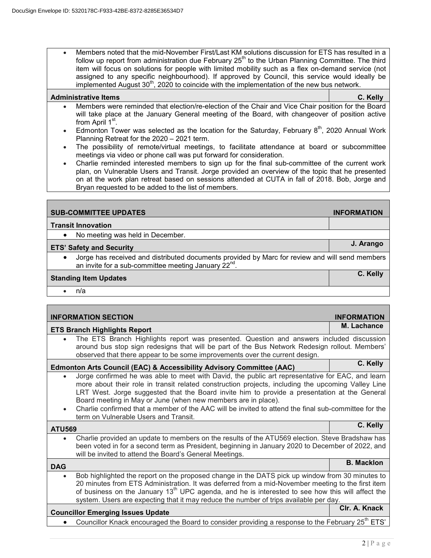• Members noted that the mid-November First/Last KM solutions discussion for ETS has resulted in a follow up report from administration due February  $25<sup>th</sup>$  to the Urban Planning Committee. The third item will focus on solutions for people with limited mobility such as a flex on-demand service (not assigned to any specific neighbourhood). If approved by Council, this service would ideally be implemented August  $30<sup>th</sup>$ , 2020 to coincide with the implementation of the new bus network.

#### **Administrative Items C. Kelly**

- Members were reminded that election/re-election of the Chair and Vice Chair position for the Board will take place at the January General meeting of the Board, with changeover of position active from April 1<sup>st</sup>.
- Edmonton Tower was selected as the location for the Saturday, February  $8<sup>th</sup>$ , 2020 Annual Work Planning Retreat for the 2020 – 2021 term.
- The possibility of remote/virtual meetings, to facilitate attendance at board or subcommittee meetings via video or phone call was put forward for consideration.
- Charlie reminded interested members to sign up for the final sub-committee of the current work plan, on Vulnerable Users and Transit. Jorge provided an overview of the topic that he presented on at the work plan retreat based on sessions attended at CUTA in fall of 2018. Bob, Jorge and Bryan requested to be added to the list of members.

| <b>SUB-COMMITTEE UPDATES</b>                                                                                                                             | <b>INFORMATION</b> |
|----------------------------------------------------------------------------------------------------------------------------------------------------------|--------------------|
| <b>Transit Innovation</b>                                                                                                                                |                    |
| No meeting was held in December.                                                                                                                         |                    |
| <b>ETS' Safety and Security</b>                                                                                                                          | J. Arango          |
| Jorge has received and distributed documents provided by Marc for review and will send members an invite for a sub-committee meeting January $22^{nd}$ . |                    |
| <b>Standing Item Updates</b>                                                                                                                             | C. Kelly           |
| n/a                                                                                                                                                      |                    |

|               | <b>INFORMATION SECTION</b>                                                                                                                                                                                                                                                                                                                                                                                                                                                                                               | <b>INFORMATION</b> |
|---------------|--------------------------------------------------------------------------------------------------------------------------------------------------------------------------------------------------------------------------------------------------------------------------------------------------------------------------------------------------------------------------------------------------------------------------------------------------------------------------------------------------------------------------|--------------------|
|               | <b>ETS Branch Highlights Report</b>                                                                                                                                                                                                                                                                                                                                                                                                                                                                                      | M. Lachance        |
|               | The ETS Branch Highlights report was presented. Question and answers included discussion<br>around bus stop sign redesigns that will be part of the Bus Network Redesign rollout. Members'<br>observed that there appear to be some improvements over the current design.                                                                                                                                                                                                                                                |                    |
|               | <b>Edmonton Arts Council (EAC) &amp; Accessibility Advisory Committee (AAC)</b>                                                                                                                                                                                                                                                                                                                                                                                                                                          | C. Kelly           |
| $\bullet$     | Jorge confirmed he was able to meet with David, the public art representative for EAC, and learn<br>more about their role in transit related construction projects, including the upcoming Valley Line<br>LRT West. Jorge suggested that the Board invite him to provide a presentation at the General<br>Board meeting in May or June (when new members are in place).<br>Charlie confirmed that a member of the AAC will be invited to attend the final sub-committee for the<br>term on Vulnerable Users and Transit. |                    |
|               |                                                                                                                                                                                                                                                                                                                                                                                                                                                                                                                          |                    |
| <b>ATU569</b> |                                                                                                                                                                                                                                                                                                                                                                                                                                                                                                                          | C. Kelly           |
| $\bullet$     | Charlie provided an update to members on the results of the ATU569 election. Steve Bradshaw has<br>been voted in for a second term as President, beginning in January 2020 to December of 2022, and<br>will be invited to attend the Board's General Meetings.                                                                                                                                                                                                                                                           |                    |
| <b>DAG</b>    |                                                                                                                                                                                                                                                                                                                                                                                                                                                                                                                          | <b>B. Macklon</b>  |
| $\bullet$     | Bob highlighted the report on the proposed change in the DATS pick up window from 30 minutes to<br>20 minutes from ETS Administration. It was deferred from a mid-November meeting to the first item<br>of business on the January 13 <sup>th</sup> UPC agenda, and he is interested to see how this will affect the<br>system. Users are expecting that it may reduce the number of trips available per day.                                                                                                            |                    |
|               | <b>Councillor Emerging Issues Update</b>                                                                                                                                                                                                                                                                                                                                                                                                                                                                                 | Clr. A. Knack      |
|               | Councillor Knack encouraged the Board to consider providing a response to the February 25 <sup>th</sup> ETS'                                                                                                                                                                                                                                                                                                                                                                                                             |                    |